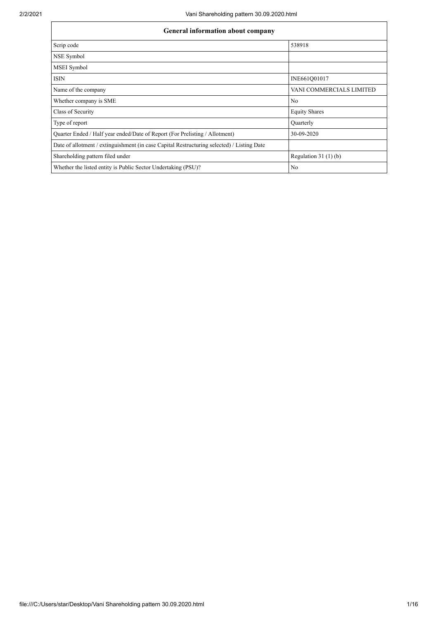| <b>General information about company</b>                                                   |                          |  |  |  |  |  |  |  |  |
|--------------------------------------------------------------------------------------------|--------------------------|--|--|--|--|--|--|--|--|
| Scrip code                                                                                 | 538918                   |  |  |  |  |  |  |  |  |
| NSE Symbol                                                                                 |                          |  |  |  |  |  |  |  |  |
| <b>MSEI</b> Symbol                                                                         |                          |  |  |  |  |  |  |  |  |
| <b>ISIN</b>                                                                                | INE661Q01017             |  |  |  |  |  |  |  |  |
| Name of the company                                                                        | VANI COMMERCIALS LIMITED |  |  |  |  |  |  |  |  |
| Whether company is SME                                                                     | N <sub>0</sub>           |  |  |  |  |  |  |  |  |
| Class of Security                                                                          | <b>Equity Shares</b>     |  |  |  |  |  |  |  |  |
| Type of report                                                                             | Quarterly                |  |  |  |  |  |  |  |  |
| Quarter Ended / Half year ended/Date of Report (For Prelisting / Allotment)                | 30-09-2020               |  |  |  |  |  |  |  |  |
| Date of allotment / extinguishment (in case Capital Restructuring selected) / Listing Date |                          |  |  |  |  |  |  |  |  |
| Shareholding pattern filed under                                                           | Regulation $31(1)(b)$    |  |  |  |  |  |  |  |  |
| Whether the listed entity is Public Sector Undertaking (PSU)?                              | No                       |  |  |  |  |  |  |  |  |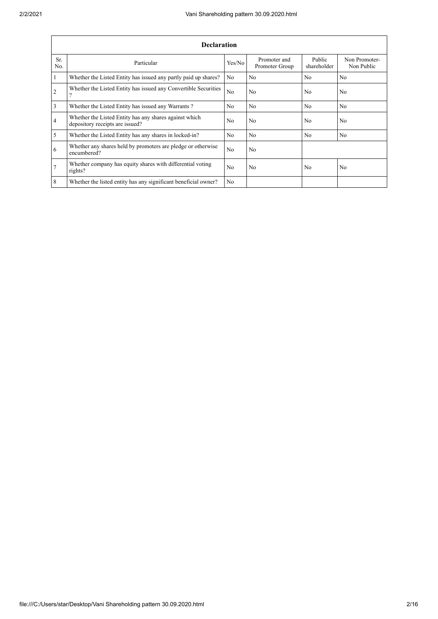|                  | <b>Declaration</b>                                                                        |                |                                |                       |                             |  |  |  |  |  |  |  |
|------------------|-------------------------------------------------------------------------------------------|----------------|--------------------------------|-----------------------|-----------------------------|--|--|--|--|--|--|--|
| Sr.<br>No.       | Particular                                                                                | Yes/No         | Promoter and<br>Promoter Group | Public<br>shareholder | Non Promoter-<br>Non Public |  |  |  |  |  |  |  |
| $\overline{1}$   | Whether the Listed Entity has issued any partly paid up shares?                           | No.            | N <sub>0</sub>                 | N <sub>0</sub>        | N <sub>0</sub>              |  |  |  |  |  |  |  |
| $\overline{2}$   | Whether the Listed Entity has issued any Convertible Securities<br>$\gamma$               | N <sub>o</sub> | No                             | N <sub>0</sub>        | N <sub>0</sub>              |  |  |  |  |  |  |  |
| $\overline{3}$   | Whether the Listed Entity has issued any Warrants?                                        | N <sub>o</sub> | N <sub>0</sub>                 | No                    | N <sub>o</sub>              |  |  |  |  |  |  |  |
| $\overline{4}$   | Whether the Listed Entity has any shares against which<br>depository receipts are issued? | N <sub>0</sub> | No                             | N <sub>0</sub>        | No                          |  |  |  |  |  |  |  |
| $\overline{5}$   | Whether the Listed Entity has any shares in locked-in?                                    | N <sub>o</sub> | N <sub>0</sub>                 | No                    | N <sub>0</sub>              |  |  |  |  |  |  |  |
| 6                | Whether any shares held by promoters are pledge or otherwise<br>encumbered?               | N <sub>0</sub> | N <sub>0</sub>                 |                       |                             |  |  |  |  |  |  |  |
| $\overline{7}$   | Whether company has equity shares with differential voting<br>rights?                     | N <sub>0</sub> | No                             | N <sub>0</sub>        | N <sub>o</sub>              |  |  |  |  |  |  |  |
| $\boldsymbol{8}$ | Whether the listed entity has any significant beneficial owner?                           | N <sub>0</sub> |                                |                       |                             |  |  |  |  |  |  |  |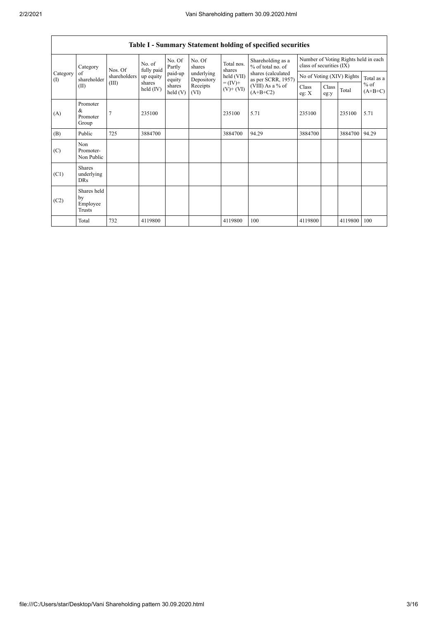|                 |                                           |                                  |                       |                   |                          |                              | Table I - Summary Statement holding of specified securities |                                                                  |               |         |                     |
|-----------------|-------------------------------------------|----------------------------------|-----------------------|-------------------|--------------------------|------------------------------|-------------------------------------------------------------|------------------------------------------------------------------|---------------|---------|---------------------|
|                 | Category                                  | Nos. Of<br>shareholders<br>(III) | No. of<br>fully paid  | No. Of<br>Partly  | No. Of<br>shares         | Total nos.<br>shares         | Shareholding as a<br>% of total no. of                      | Number of Voting Rights held in each<br>class of securities (IX) |               |         |                     |
| Category<br>(1) | of<br>shareholder                         |                                  | up equity             | paid-up<br>equity | underlying<br>Depository | held (VII)                   | shares (calculated<br>as per SCRR, 1957)                    | No of Voting (XIV) Rights                                        |               |         | Total as a          |
|                 | (II)                                      |                                  | shares<br>held $(IV)$ | shares<br>held(V) | Receipts<br>(VI)         | $= (IV) +$<br>$(V)$ + $(VI)$ | (VIII) As a $%$ of<br>$(A+B+C2)$                            | Class<br>eg: $X$                                                 | Class<br>eg:y | Total   | $%$ of<br>$(A+B+C)$ |
| (A)             | Promoter<br>&<br>Promoter<br>Group        |                                  | 235100                |                   |                          | 235100                       | 5.71                                                        | 235100                                                           |               | 235100  | 5.71                |
| (B)             | Public                                    | 725                              | 3884700               |                   |                          | 3884700                      | 94.29                                                       | 3884700                                                          |               | 3884700 | 94.29               |
| (C)             | Non<br>Promoter-<br>Non Public            |                                  |                       |                   |                          |                              |                                                             |                                                                  |               |         |                     |
| (C1)            | <b>Shares</b><br>underlying<br><b>DRs</b> |                                  |                       |                   |                          |                              |                                                             |                                                                  |               |         |                     |
| (C2)            | Shares held<br>by<br>Employee<br>Trusts   |                                  |                       |                   |                          |                              |                                                             |                                                                  |               |         |                     |
|                 | Total                                     | 732                              | 4119800               |                   |                          | 4119800                      | 100                                                         | 4119800                                                          |               | 4119800 | 100                 |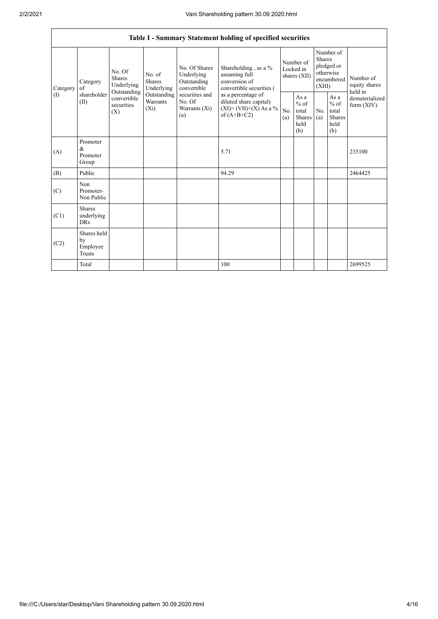|                          |                                                |                                                                                              |                                       |                                                                                                               | Table I - Summary Statement holding of specified securities                                                                                                                      |                                        |                                                                   |                                                                               |                                                         |                                       |
|--------------------------|------------------------------------------------|----------------------------------------------------------------------------------------------|---------------------------------------|---------------------------------------------------------------------------------------------------------------|----------------------------------------------------------------------------------------------------------------------------------------------------------------------------------|----------------------------------------|-------------------------------------------------------------------|-------------------------------------------------------------------------------|---------------------------------------------------------|---------------------------------------|
| Category<br>$($ $\Gamma$ | Category<br>of<br>shareholder<br>(II)          | No. Of<br>Shares<br>Underlying<br>Outstanding<br>convertible<br>securities<br>$(X_i)$<br>(X) | No. of<br><b>Shares</b><br>Underlying | No. Of Shares<br>Underlying<br>Outstanding<br>convertible<br>securities and<br>No. Of<br>Warrants (Xi)<br>(a) | Shareholding, as a %<br>assuming full<br>conversion of<br>convertible securities (<br>as a percentage of<br>diluted share capital)<br>$(XI) = (VII)+(X) As a %$<br>of $(A+B+C2)$ | Number of<br>Locked in<br>shares (XII) |                                                                   | Number of<br><b>Shares</b><br>pledged or<br>otherwise<br>encumbered<br>(XIII) |                                                         | Number of<br>equity shares<br>held in |
|                          |                                                |                                                                                              | Outstanding<br><b>Warrants</b>        |                                                                                                               |                                                                                                                                                                                  | No.<br>(a)                             | As $\mathbf a$<br>$%$ of<br>total<br><b>Shares</b><br>held<br>(b) | N <sub>0</sub><br>(a)                                                         | As a<br>$%$ of<br>total<br><b>Shares</b><br>held<br>(b) | dematerialized<br>form (XIV)          |
| (A)                      | Promoter<br>$\&$<br>Promoter<br>Group          |                                                                                              |                                       |                                                                                                               | 5.71                                                                                                                                                                             |                                        |                                                                   |                                                                               |                                                         | 235100                                |
| (B)                      | Public                                         |                                                                                              |                                       |                                                                                                               | 94.29                                                                                                                                                                            |                                        |                                                                   |                                                                               |                                                         | 2464425                               |
| (C)                      | Non<br>Promoter-<br>Non Public                 |                                                                                              |                                       |                                                                                                               |                                                                                                                                                                                  |                                        |                                                                   |                                                                               |                                                         |                                       |
| (C1)                     | Shares<br>underlying<br><b>DRs</b>             |                                                                                              |                                       |                                                                                                               |                                                                                                                                                                                  |                                        |                                                                   |                                                                               |                                                         |                                       |
| (C2)                     | Shares held<br>by<br>Employee<br><b>Trusts</b> |                                                                                              |                                       |                                                                                                               |                                                                                                                                                                                  |                                        |                                                                   |                                                                               |                                                         |                                       |
|                          | Total                                          |                                                                                              |                                       |                                                                                                               | 100                                                                                                                                                                              |                                        |                                                                   |                                                                               |                                                         | 2699525                               |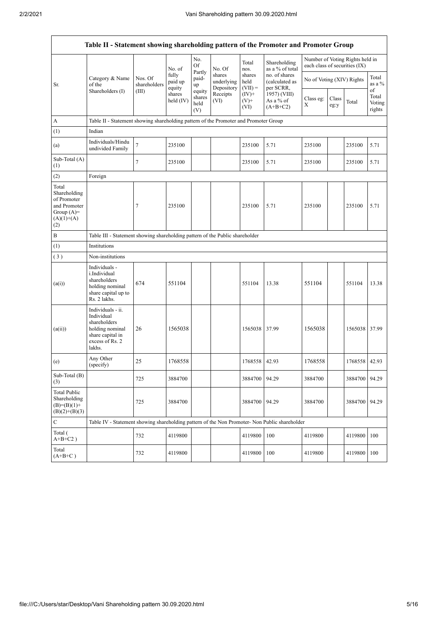| Table II - Statement showing shareholding pattern of the Promoter and Promoter Group         |                                                                                                                     |                                                                              |                            |                                 |                                    |                             |                                              |                                                                  |               |               |                           |  |  |
|----------------------------------------------------------------------------------------------|---------------------------------------------------------------------------------------------------------------------|------------------------------------------------------------------------------|----------------------------|---------------------------------|------------------------------------|-----------------------------|----------------------------------------------|------------------------------------------------------------------|---------------|---------------|---------------------------|--|--|
|                                                                                              |                                                                                                                     |                                                                              | No. of                     | No.<br>Of                       | No. Of                             | Total<br>nos.               | Shareholding<br>as a % of total              | Number of Voting Rights held in<br>each class of securities (IX) |               |               |                           |  |  |
| Sr.                                                                                          | Category & Name<br>of the<br>Shareholders (I)                                                                       | Nos. Of<br>shareholders                                                      | fully<br>paid up<br>equity | Partly<br>paid-<br>up           | shares<br>underlying<br>Depository | shares<br>held<br>$(VII) =$ | no. of shares<br>(calculated as<br>per SCRR, | No of Voting (XIV) Rights                                        |               |               | Total<br>as a %<br>of     |  |  |
|                                                                                              |                                                                                                                     | (III)                                                                        | shares<br>held (IV)        | equity<br>shares<br>held<br>(V) | Receipts<br>(VI)                   | $(IV)+$<br>$(V)$ +<br>(VI)  | 1957) (VIII)<br>As a % of<br>$(A+B+C2)$      | Class eg:<br>X                                                   | Class<br>eg:y | Total         | Total<br>Voting<br>rights |  |  |
| A                                                                                            | Table II - Statement showing shareholding pattern of the Promoter and Promoter Group                                |                                                                              |                            |                                 |                                    |                             |                                              |                                                                  |               |               |                           |  |  |
| (1)                                                                                          | Indian                                                                                                              |                                                                              |                            |                                 |                                    |                             |                                              |                                                                  |               |               |                           |  |  |
| (a)                                                                                          | Individuals/Hindu<br>undivided Family                                                                               | $\overline{7}$                                                               | 235100                     |                                 |                                    | 235100                      | 5.71                                         | 235100                                                           |               | 235100        | 5.71                      |  |  |
| Sub-Total (A)<br>(1)                                                                         |                                                                                                                     | 7                                                                            | 235100                     |                                 |                                    | 235100                      | 5.71                                         | 235100                                                           |               | 235100        | 5.71                      |  |  |
| (2)                                                                                          | Foreign                                                                                                             |                                                                              |                            |                                 |                                    |                             |                                              |                                                                  |               |               |                           |  |  |
| Total<br>Shareholding<br>of Promoter<br>and Promoter<br>Group $(A)$ =<br>$(A)(1)+(A)$<br>(2) |                                                                                                                     | 7                                                                            | 235100                     |                                 |                                    | 235100                      | 5.71                                         | 235100                                                           |               | 235100        | 5.71                      |  |  |
| $\, {\bf B}$                                                                                 |                                                                                                                     | Table III - Statement showing shareholding pattern of the Public shareholder |                            |                                 |                                    |                             |                                              |                                                                  |               |               |                           |  |  |
| (1)                                                                                          | Institutions                                                                                                        |                                                                              |                            |                                 |                                    |                             |                                              |                                                                  |               |               |                           |  |  |
| (3)                                                                                          | Non-institutions                                                                                                    |                                                                              |                            |                                 |                                    |                             |                                              |                                                                  |               |               |                           |  |  |
| (a(i))                                                                                       | Individuals -<br>i.Individual<br>shareholders<br>holding nominal<br>share capital up to<br>Rs. 2 lakhs.             | 674                                                                          | 551104                     |                                 |                                    | 551104                      | 13.38                                        | 551104                                                           |               | 551104        | 13.38                     |  |  |
| (a(ii))                                                                                      | Individuals - ii.<br>Individual<br>shareholders<br>holding nominal<br>share capital in<br>excess of Rs. 2<br>lakhs. | 26                                                                           | 1565038                    |                                 |                                    | 1565038                     | 37.99                                        | 1565038                                                          |               | 1565038 37.99 |                           |  |  |
| (e)                                                                                          | Any Other<br>(specify)                                                                                              | 25                                                                           | 1768558                    |                                 |                                    | 1768558                     | 42.93                                        | 1768558                                                          |               | 1768558 42.93 |                           |  |  |
| Sub-Total (B)<br>(3)                                                                         |                                                                                                                     | 725                                                                          | 3884700                    |                                 |                                    | 3884700                     | 94.29                                        | 3884700                                                          |               | 3884700 94.29 |                           |  |  |
| <b>Total Public</b><br>Shareholding<br>$(B)=(B)(1)+$<br>$(B)(2)+(B)(3)$                      |                                                                                                                     | 725                                                                          | 3884700                    |                                 |                                    | 3884700                     | 94.29                                        | 3884700                                                          |               | 3884700       | 94.29                     |  |  |
| $\mathbf C$                                                                                  | Table IV - Statement showing shareholding pattern of the Non Promoter- Non Public shareholder                       |                                                                              |                            |                                 |                                    |                             |                                              |                                                                  |               |               |                           |  |  |
| Total (<br>$A+B+C2$ )                                                                        |                                                                                                                     | 732                                                                          | 4119800                    |                                 |                                    | 4119800                     | 100                                          | 4119800                                                          |               | 4119800       | 100                       |  |  |
| Total<br>$(A+B+C)$                                                                           |                                                                                                                     | 732                                                                          | 4119800                    |                                 |                                    | 4119800                     | 100                                          | 4119800                                                          |               | 4119800       | 100                       |  |  |

 $\overline{\mathsf{I}}$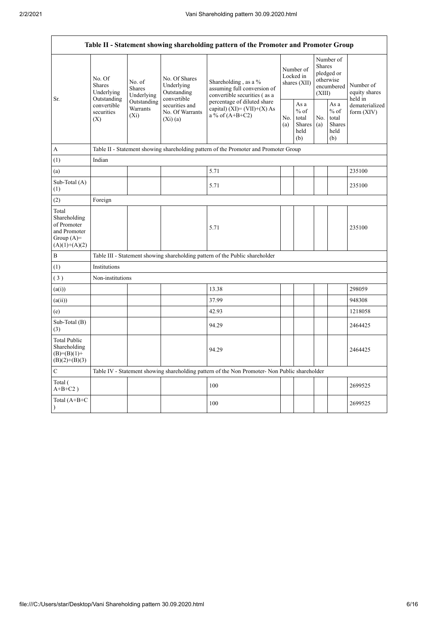| Table II - Statement showing shareholding pattern of the Promoter and Promoter Group    |                                                                                          |                                       |                                                             |                                                                                                                                                                                  |  |                                                  |            |                                                                               |                                       |  |  |  |
|-----------------------------------------------------------------------------------------|------------------------------------------------------------------------------------------|---------------------------------------|-------------------------------------------------------------|----------------------------------------------------------------------------------------------------------------------------------------------------------------------------------|--|--------------------------------------------------|------------|-------------------------------------------------------------------------------|---------------------------------------|--|--|--|
| Sr.                                                                                     | No. Of<br><b>Shares</b><br>Underlying<br>Outstanding<br>convertible<br>securities<br>(X) | No. of<br><b>Shares</b><br>Underlying | No. Of Shares<br>Underlying<br>Outstanding                  | Shareholding, as a %<br>assuming full conversion of<br>convertible securities (as a<br>percentage of diluted share<br>capital) $(XI) = (VII)+(X) As$<br>a % of $(A+B+C2)$<br>No. |  | Number of<br>Locked in<br>shares (XII)           |            | Number of<br><b>Shares</b><br>pledged or<br>otherwise<br>encumbered<br>(XIII) | Number of<br>equity shares<br>held in |  |  |  |
| A                                                                                       |                                                                                          | Outstanding<br>Warrants<br>$(X_i)$    | convertible<br>securities and<br>No. Of Warrants<br>(Xi)(a) |                                                                                                                                                                                  |  | As a<br>$%$ of<br>total<br>Shares<br>held<br>(b) | No.<br>(a) | As a<br>$%$ of<br>total<br>Shares<br>held<br>(b)                              | dematerialized<br>form $(XIV)$        |  |  |  |
|                                                                                         |                                                                                          |                                       |                                                             | Table II - Statement showing shareholding pattern of the Promoter and Promoter Group                                                                                             |  |                                                  |            |                                                                               |                                       |  |  |  |
| (1)                                                                                     | Indian                                                                                   |                                       |                                                             |                                                                                                                                                                                  |  |                                                  |            |                                                                               |                                       |  |  |  |
| (a)                                                                                     |                                                                                          |                                       |                                                             | 5.71                                                                                                                                                                             |  |                                                  |            |                                                                               | 235100                                |  |  |  |
| Sub-Total (A)<br>(1)                                                                    |                                                                                          |                                       |                                                             | 5.71                                                                                                                                                                             |  |                                                  |            |                                                                               | 235100                                |  |  |  |
| (2)                                                                                     | Foreign                                                                                  |                                       |                                                             |                                                                                                                                                                                  |  |                                                  |            |                                                                               |                                       |  |  |  |
| Total<br>Shareholding<br>of Promoter<br>and Promoter<br>Group $(A)=$<br>$(A)(1)+(A)(2)$ |                                                                                          |                                       |                                                             | 5.71                                                                                                                                                                             |  |                                                  |            |                                                                               | 235100                                |  |  |  |
| B                                                                                       |                                                                                          |                                       |                                                             | Table III - Statement showing shareholding pattern of the Public shareholder                                                                                                     |  |                                                  |            |                                                                               |                                       |  |  |  |
| (1)                                                                                     | Institutions                                                                             |                                       |                                                             |                                                                                                                                                                                  |  |                                                  |            |                                                                               |                                       |  |  |  |
| (3)                                                                                     | Non-institutions                                                                         |                                       |                                                             |                                                                                                                                                                                  |  |                                                  |            |                                                                               |                                       |  |  |  |
| (a(i))                                                                                  |                                                                                          |                                       |                                                             | 13.38                                                                                                                                                                            |  |                                                  |            |                                                                               | 298059                                |  |  |  |
| (a(ii))                                                                                 |                                                                                          |                                       |                                                             | 37.99                                                                                                                                                                            |  |                                                  |            |                                                                               | 948308                                |  |  |  |
| (e)                                                                                     |                                                                                          |                                       |                                                             | 42.93                                                                                                                                                                            |  |                                                  |            |                                                                               | 1218058                               |  |  |  |
| Sub-Total (B)<br>(3)                                                                    |                                                                                          |                                       |                                                             | 94.29                                                                                                                                                                            |  |                                                  |            |                                                                               | 2464425                               |  |  |  |
| <b>Total Public</b><br>Shareholding<br>$(B)= (B)(1) +$<br>$(B)(2)+(B)(3)$               |                                                                                          |                                       |                                                             | 94.29                                                                                                                                                                            |  |                                                  |            |                                                                               | 2464425                               |  |  |  |
| $\mathbf C$                                                                             |                                                                                          |                                       |                                                             | Table IV - Statement showing shareholding pattern of the Non Promoter- Non Public shareholder                                                                                    |  |                                                  |            |                                                                               |                                       |  |  |  |
| Total (<br>$A+B+C2$ )                                                                   |                                                                                          |                                       |                                                             | 100                                                                                                                                                                              |  |                                                  |            |                                                                               | 2699525                               |  |  |  |
| Total (A+B+C<br>$\mathcal{E}$                                                           |                                                                                          |                                       |                                                             | 100                                                                                                                                                                              |  |                                                  |            |                                                                               | 2699525                               |  |  |  |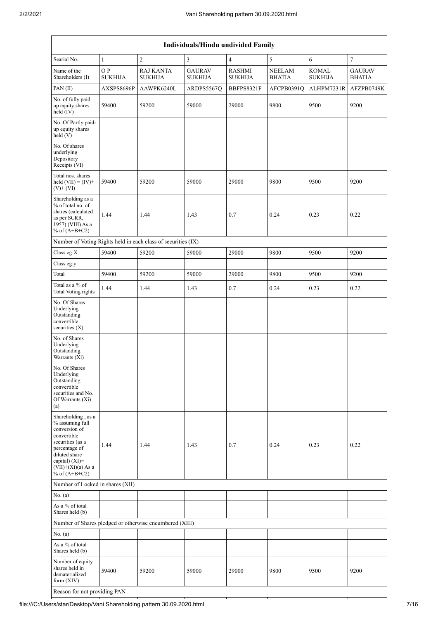| Individuals/Hindu undivided Family                                                                                                                                                       |                      |                                                               |                                 |                                 |                                |                                |                                |  |  |  |  |
|------------------------------------------------------------------------------------------------------------------------------------------------------------------------------------------|----------------------|---------------------------------------------------------------|---------------------------------|---------------------------------|--------------------------------|--------------------------------|--------------------------------|--|--|--|--|
| Searial No.                                                                                                                                                                              | $\mathbf{1}$         | $\overline{2}$                                                | $\overline{3}$                  | $\overline{4}$                  | 5                              | $\sqrt{6}$                     | $\tau$                         |  |  |  |  |
| Name of the<br>Shareholders (I)                                                                                                                                                          | OP<br><b>SUKHIJA</b> | <b>RAJ KANTA</b><br><b>SUKHIJA</b>                            | <b>GAURAV</b><br><b>SUKHIJA</b> | <b>RASHMI</b><br><b>SUKHIJA</b> | <b>NEELAM</b><br><b>BHATIA</b> | <b>KOMAL</b><br><b>SUKHIJA</b> | <b>GAURAV</b><br><b>BHATIA</b> |  |  |  |  |
| PAN(II)                                                                                                                                                                                  | AXSPS8696P           | AAWPK6240L                                                    | ARDPS5567Q                      | BBFPS8321F                      | AFCPB0391Q                     | ALHPM7231R                     | AFZPB0749K                     |  |  |  |  |
| No. of fully paid<br>up equity shares<br>held (IV)                                                                                                                                       | 59400                | 59200                                                         | 59000                           | 29000                           | 9800                           | 9500                           | 9200                           |  |  |  |  |
| No. Of Partly paid-<br>up equity shares<br>held(V)                                                                                                                                       |                      |                                                               |                                 |                                 |                                |                                |                                |  |  |  |  |
| No. Of shares<br>underlying<br>Depository<br>Receipts (VI)                                                                                                                               |                      |                                                               |                                 |                                 |                                |                                |                                |  |  |  |  |
| Total nos. shares<br>held $(VII) = (IV) +$<br>$(V)+(VI)$                                                                                                                                 | 59400                | 59200                                                         | 59000                           | 29000                           | 9800                           | 9500                           | 9200                           |  |  |  |  |
| Shareholding as a<br>% of total no. of<br>shares (calculated<br>as per SCRR,<br>1957) (VIII) As a<br>% of $(A+B+C2)$                                                                     | 1.44                 | 1.44                                                          | 1.43                            | 0.7                             | 0.24                           | 0.23                           | 0.22                           |  |  |  |  |
|                                                                                                                                                                                          |                      | Number of Voting Rights held in each class of securities (IX) |                                 |                                 |                                |                                |                                |  |  |  |  |
| Class eg:X                                                                                                                                                                               | 59400                | 59200                                                         | 59000                           | 29000                           | 9800                           | 9500                           | 9200                           |  |  |  |  |
| Class eg:y                                                                                                                                                                               |                      |                                                               |                                 |                                 |                                |                                |                                |  |  |  |  |
| Total                                                                                                                                                                                    | 59400                | 59200                                                         | 59000                           | 29000                           | 9800                           | 9500                           | 9200                           |  |  |  |  |
| Total as a % of<br><b>Total Voting rights</b>                                                                                                                                            | 1.44                 | 1.44                                                          | 1.43                            | 0.7                             | 0.24                           | 0.23                           | 0.22                           |  |  |  |  |
| No. Of Shares<br>Underlying<br>Outstanding<br>convertible<br>securities (X)                                                                                                              |                      |                                                               |                                 |                                 |                                |                                |                                |  |  |  |  |
| No. of Shares<br>Underlying<br>Outstanding<br>Warrants (Xi)                                                                                                                              |                      |                                                               |                                 |                                 |                                |                                |                                |  |  |  |  |
| No. Of Shares<br>Underlying<br>Outstanding<br>convertible<br>securities and No.<br>Of Warrants (Xi)<br>(a)                                                                               |                      |                                                               |                                 |                                 |                                |                                |                                |  |  |  |  |
| Shareholding, as a<br>% assuming full<br>conversion of<br>convertible<br>securities (as a<br>percentage of<br>diluted share<br>capital) (XI)=<br>$(VII)+(Xi)(a)$ As a<br>% of $(A+B+C2)$ | 1.44                 | 1.44                                                          | 1.43                            | 0.7                             | 0.24                           | 0.23                           | 0.22                           |  |  |  |  |
| Number of Locked in shares (XII)                                                                                                                                                         |                      |                                                               |                                 |                                 |                                |                                |                                |  |  |  |  |
| No. (a)                                                                                                                                                                                  |                      |                                                               |                                 |                                 |                                |                                |                                |  |  |  |  |
| As a % of total<br>Shares held (b)                                                                                                                                                       |                      |                                                               |                                 |                                 |                                |                                |                                |  |  |  |  |
|                                                                                                                                                                                          |                      | Number of Shares pledged or otherwise encumbered (XIII)       |                                 |                                 |                                |                                |                                |  |  |  |  |
| No. (a)                                                                                                                                                                                  |                      |                                                               |                                 |                                 |                                |                                |                                |  |  |  |  |
| As a % of total<br>Shares held (b)                                                                                                                                                       |                      |                                                               |                                 |                                 |                                |                                |                                |  |  |  |  |
| Number of equity<br>shares held in<br>dematerialized<br>form $(XIV)$                                                                                                                     | 59400                | 59200                                                         | 59000                           | 29000                           | 9800                           | 9500                           | 9200                           |  |  |  |  |
| Reason for not providing PAN                                                                                                                                                             |                      |                                                               |                                 |                                 |                                |                                |                                |  |  |  |  |

file:///C:/Users/star/Desktop/Vani Shareholding pattern 30.09.2020.html 7/16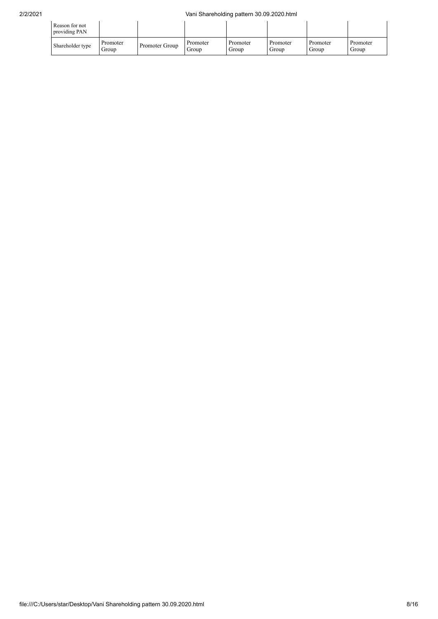| Reason for not<br>providing PAN |                   |                |                   |                   |                   |                   |                   |
|---------------------------------|-------------------|----------------|-------------------|-------------------|-------------------|-------------------|-------------------|
| Shareholder type                | Promoter<br>Group | Promoter Group | Promoter<br>Group | Promoter<br>Group | Promoter<br>Group | Promoter<br>Group | Promoter<br>Group |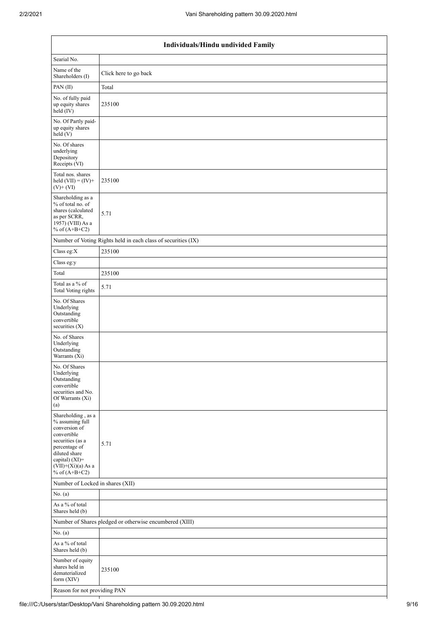| Individuals/Hindu undivided Family                                                                                                                                                       |                                                               |  |  |  |  |  |  |  |
|------------------------------------------------------------------------------------------------------------------------------------------------------------------------------------------|---------------------------------------------------------------|--|--|--|--|--|--|--|
| Searial No.                                                                                                                                                                              |                                                               |  |  |  |  |  |  |  |
| Name of the<br>Shareholders (I)                                                                                                                                                          | Click here to go back                                         |  |  |  |  |  |  |  |
| PAN(II)                                                                                                                                                                                  | Total                                                         |  |  |  |  |  |  |  |
| No. of fully paid<br>up equity shares<br>held (IV)                                                                                                                                       | 235100                                                        |  |  |  |  |  |  |  |
| No. Of Partly paid-<br>up equity shares<br>held (V)                                                                                                                                      |                                                               |  |  |  |  |  |  |  |
| No. Of shares<br>underlying<br>Depository<br>Receipts (VI)                                                                                                                               |                                                               |  |  |  |  |  |  |  |
| Total nos. shares<br>held $(VII) = (IV) +$<br>$(V)$ + $(VI)$                                                                                                                             | 235100                                                        |  |  |  |  |  |  |  |
| Shareholding as a<br>% of total no. of<br>shares (calculated<br>as per SCRR,<br>1957) (VIII) As a<br>% of $(A+B+C2)$                                                                     | 5.71                                                          |  |  |  |  |  |  |  |
|                                                                                                                                                                                          | Number of Voting Rights held in each class of securities (IX) |  |  |  |  |  |  |  |
| Class eg:X                                                                                                                                                                               | 235100                                                        |  |  |  |  |  |  |  |
| Class eg:y                                                                                                                                                                               |                                                               |  |  |  |  |  |  |  |
| Total                                                                                                                                                                                    | 235100                                                        |  |  |  |  |  |  |  |
| Total as a % of<br><b>Total Voting rights</b>                                                                                                                                            | 5.71                                                          |  |  |  |  |  |  |  |
| No. Of Shares<br>Underlying<br>Outstanding<br>convertible<br>securities $(X)$                                                                                                            |                                                               |  |  |  |  |  |  |  |
| No. of Shares<br>Underlying<br>Outstanding<br>Warrants (Xi)                                                                                                                              |                                                               |  |  |  |  |  |  |  |
| No. Of Shares<br>Underlying<br>Outstanding<br>convertible<br>securities and No.<br>Of Warrants (Xi)<br>(a)                                                                               |                                                               |  |  |  |  |  |  |  |
| Shareholding, as a<br>% assuming full<br>conversion of<br>convertible<br>securities (as a<br>percentage of<br>diluted share<br>capital) (XI)=<br>$(VII)+(Xi)(a)$ As a<br>% of $(A+B+C2)$ | 5.71                                                          |  |  |  |  |  |  |  |
| Number of Locked in shares (XII)                                                                                                                                                         |                                                               |  |  |  |  |  |  |  |
| No. $(a)$                                                                                                                                                                                |                                                               |  |  |  |  |  |  |  |
| As a % of total<br>Shares held (b)                                                                                                                                                       |                                                               |  |  |  |  |  |  |  |
|                                                                                                                                                                                          | Number of Shares pledged or otherwise encumbered (XIII)       |  |  |  |  |  |  |  |
| No. (a)                                                                                                                                                                                  |                                                               |  |  |  |  |  |  |  |
| As a % of total<br>Shares held (b)                                                                                                                                                       |                                                               |  |  |  |  |  |  |  |
| Number of equity<br>shares held in<br>dematerialized<br>form (XIV)                                                                                                                       | 235100                                                        |  |  |  |  |  |  |  |
| Reason for not providing PAN                                                                                                                                                             |                                                               |  |  |  |  |  |  |  |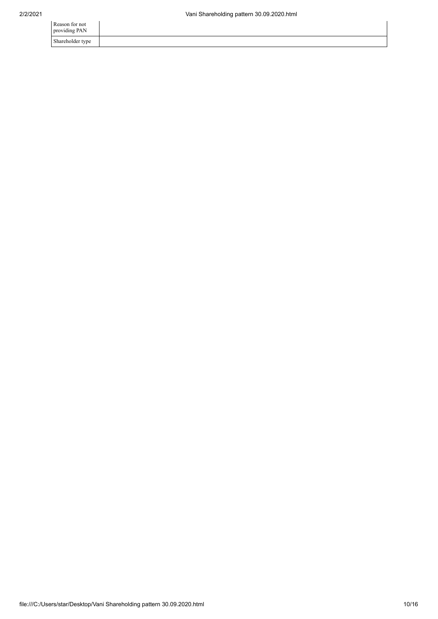| Reason for not<br>providing PAN |  |
|---------------------------------|--|
| Shareholder type                |  |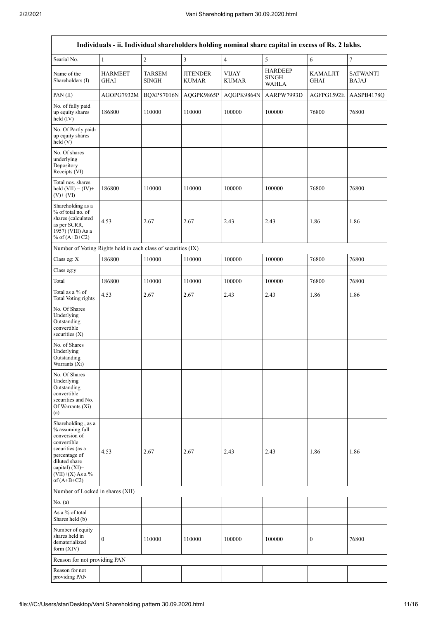| Individuals - ii. Individual shareholders holding nominal share capital in excess of Rs. 2 lakhs.                                                                                    |                               |                               |                                 |                              |                                                |                                |                                 |  |  |  |  |
|--------------------------------------------------------------------------------------------------------------------------------------------------------------------------------------|-------------------------------|-------------------------------|---------------------------------|------------------------------|------------------------------------------------|--------------------------------|---------------------------------|--|--|--|--|
| Searial No.                                                                                                                                                                          | $\mathbf{1}$                  | $\overline{c}$                | $\overline{\mathbf{3}}$         | $\sqrt{4}$                   | $\sqrt{5}$                                     | $\sqrt{6}$                     | $\boldsymbol{7}$                |  |  |  |  |
| Name of the<br>Shareholders (I)                                                                                                                                                      | <b>HARMEET</b><br><b>GHAI</b> | <b>TARSEM</b><br><b>SINGH</b> | <b>JITENDER</b><br><b>KUMAR</b> | <b>VIJAY</b><br><b>KUMAR</b> | <b>HARDEEP</b><br><b>SINGH</b><br><b>WAHLA</b> | <b>KAMALJIT</b><br><b>GHAI</b> | <b>SATWANTI</b><br><b>BAJAJ</b> |  |  |  |  |
| PAN(II)                                                                                                                                                                              | AGOPG7932M                    | BQXPS7016N                    | AQGPK9865P                      | AQGPK9864N                   | AARPW7993D                                     | AGFPG1592E                     | AASPB4178Q                      |  |  |  |  |
| No. of fully paid<br>up equity shares<br>held (IV)                                                                                                                                   | 186800                        | 110000                        | 110000                          | 100000                       | 100000                                         | 76800                          | 76800                           |  |  |  |  |
| No. Of Partly paid-<br>up equity shares<br>held (V)                                                                                                                                  |                               |                               |                                 |                              |                                                |                                |                                 |  |  |  |  |
| No. Of shares<br>underlying<br>Depository<br>Receipts (VI)                                                                                                                           |                               |                               |                                 |                              |                                                |                                |                                 |  |  |  |  |
| Total nos. shares<br>held $(VII) = (IV) +$<br>$(V)$ + $(VI)$                                                                                                                         | 186800                        | 110000                        | 110000                          | 100000                       | 100000                                         | 76800                          | 76800                           |  |  |  |  |
| Shareholding as a<br>% of total no. of<br>shares (calculated<br>as per SCRR,<br>1957) (VIII) As a<br>% of $(A+B+C2)$                                                                 | 4.53                          | 2.67                          | 2.67                            | 2.43                         | 2.43                                           | 1.86                           | 1.86                            |  |  |  |  |
| Number of Voting Rights held in each class of securities (IX)                                                                                                                        |                               |                               |                                 |                              |                                                |                                |                                 |  |  |  |  |
| Class eg: X                                                                                                                                                                          | 186800                        | 110000                        | 110000                          | 100000                       | 100000                                         | 76800                          | 76800                           |  |  |  |  |
| Class eg:y                                                                                                                                                                           |                               |                               |                                 |                              |                                                |                                |                                 |  |  |  |  |
| Total                                                                                                                                                                                | 186800                        | 110000                        | 110000                          | 100000                       | 100000                                         | 76800                          | 76800                           |  |  |  |  |
| Total as a % of<br><b>Total Voting rights</b>                                                                                                                                        | 4.53                          | 2.67                          | 2.67                            | 2.43                         | 2.43                                           | 1.86                           | 1.86                            |  |  |  |  |
| No. Of Shares<br>Underlying<br>Outstanding<br>convertible<br>securities $(X)$                                                                                                        |                               |                               |                                 |                              |                                                |                                |                                 |  |  |  |  |
| No. of Shares<br>Underlying<br>Outstanding<br>Warrants (Xi)                                                                                                                          |                               |                               |                                 |                              |                                                |                                |                                 |  |  |  |  |
| No. Of Shares<br>Underlying<br>Outstanding<br>convertible<br>securities and No.<br>Of Warrants (Xi)<br>(a)                                                                           |                               |                               |                                 |                              |                                                |                                |                                 |  |  |  |  |
| Shareholding, as a<br>% assuming full<br>conversion of<br>convertible<br>securities (as a<br>percentage of<br>diluted share<br>capital) (XI)=<br>$(VII)+(X)$ As a %<br>of $(A+B+C2)$ | 4.53                          | 2.67                          | 2.67                            | 2.43                         | 2.43                                           | 1.86                           | 1.86                            |  |  |  |  |
| Number of Locked in shares (XII)                                                                                                                                                     |                               |                               |                                 |                              |                                                |                                |                                 |  |  |  |  |
| No. (a)                                                                                                                                                                              |                               |                               |                                 |                              |                                                |                                |                                 |  |  |  |  |
| As a % of total<br>Shares held (b)                                                                                                                                                   |                               |                               |                                 |                              |                                                |                                |                                 |  |  |  |  |
| Number of equity<br>shares held in<br>dematerialized<br>form (XIV)                                                                                                                   | $\boldsymbol{0}$              | 110000                        | 110000                          | 100000                       | 100000                                         | $\boldsymbol{0}$               | 76800                           |  |  |  |  |
| Reason for not providing PAN                                                                                                                                                         |                               |                               |                                 |                              |                                                |                                |                                 |  |  |  |  |
| Reason for not<br>providing PAN                                                                                                                                                      |                               |                               |                                 |                              |                                                |                                |                                 |  |  |  |  |

 $\overline{\mathsf{I}}$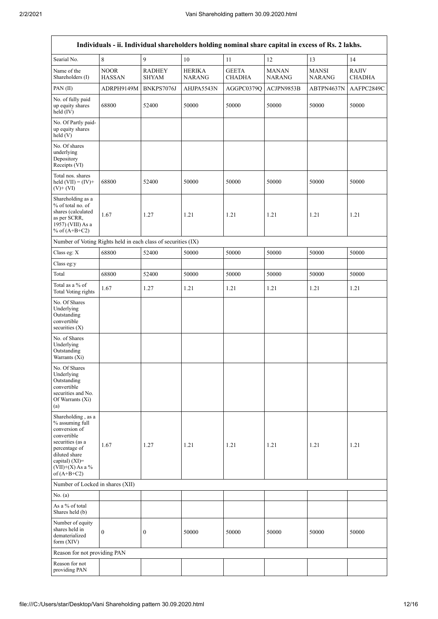| Individuals - ii. Individual shareholders holding nominal share capital in excess of Rs. 2 lakhs.                                                                                    |                              |                               |                                |                               |                               |                               |                               |  |  |  |
|--------------------------------------------------------------------------------------------------------------------------------------------------------------------------------------|------------------------------|-------------------------------|--------------------------------|-------------------------------|-------------------------------|-------------------------------|-------------------------------|--|--|--|
| Searial No.                                                                                                                                                                          | 8                            | 9                             | 10                             | 11                            | 12                            | 13                            | 14                            |  |  |  |
| Name of the<br>Shareholders (I)                                                                                                                                                      | <b>NOOR</b><br><b>HASSAN</b> | <b>RADHEY</b><br><b>SHYAM</b> | <b>HERIKA</b><br><b>NARANG</b> | <b>GEETA</b><br><b>CHADHA</b> | <b>MANAN</b><br><b>NARANG</b> | <b>MANSI</b><br><b>NARANG</b> | <b>RAJIV</b><br><b>CHADHA</b> |  |  |  |
| PAN(II)                                                                                                                                                                              | ADRPH9149M                   | BNKPS7076J                    | AHJPA5543N                     | AGGPC0379Q                    | ACJPN9853B                    | ABTPN4637N                    | AAFPC2849C                    |  |  |  |
| No. of fully paid<br>up equity shares<br>held (IV)                                                                                                                                   | 68800                        | 52400                         | 50000                          | 50000                         | 50000                         | 50000                         | 50000                         |  |  |  |
| No. Of Partly paid-<br>up equity shares<br>held(V)                                                                                                                                   |                              |                               |                                |                               |                               |                               |                               |  |  |  |
| No. Of shares<br>underlying<br>Depository<br>Receipts (VI)                                                                                                                           |                              |                               |                                |                               |                               |                               |                               |  |  |  |
| Total nos. shares<br>held $(VII) = (IV) +$<br>$(V)$ + $(VI)$                                                                                                                         | 68800                        | 52400                         | 50000                          | 50000                         | 50000                         | 50000                         | 50000                         |  |  |  |
| Shareholding as a<br>% of total no. of<br>shares (calculated<br>as per SCRR,<br>1957) (VIII) As a<br>% of $(A+B+C2)$                                                                 | 1.67                         | 1.27                          | 1.21                           | 1.21                          | 1.21                          | 1.21                          | 1.21                          |  |  |  |
| Number of Voting Rights held in each class of securities (IX)                                                                                                                        |                              |                               |                                |                               |                               |                               |                               |  |  |  |
| Class eg: X                                                                                                                                                                          | 68800                        | 52400                         | 50000                          | 50000                         | 50000                         | 50000                         | 50000                         |  |  |  |
| Class eg:y                                                                                                                                                                           |                              |                               |                                |                               |                               |                               |                               |  |  |  |
| Total                                                                                                                                                                                | 68800                        | 52400                         | 50000                          | 50000                         | 50000                         | 50000                         | 50000                         |  |  |  |
| Total as a % of<br><b>Total Voting rights</b>                                                                                                                                        | 1.67                         | 1.27                          | 1.21                           | 1.21                          | 1.21                          | 1.21                          | 1.21                          |  |  |  |
| No. Of Shares<br>Underlying<br>Outstanding<br>convertible<br>securities $(X)$                                                                                                        |                              |                               |                                |                               |                               |                               |                               |  |  |  |
| No. of Shares<br>Underlying<br>Outstanding<br>Warrants (Xi)                                                                                                                          |                              |                               |                                |                               |                               |                               |                               |  |  |  |
| No. Of Shares<br>Underlying<br>Outstanding<br>convertible<br>securities and No.<br>Of Warrants (Xi)<br>(a)                                                                           |                              |                               |                                |                               |                               |                               |                               |  |  |  |
| Shareholding, as a<br>% assuming full<br>conversion of<br>convertible<br>securities (as a<br>percentage of<br>diluted share<br>capital) (XI)=<br>$(VII)+(X)$ As a %<br>of $(A+B+C2)$ | 1.67                         | 1.27                          | 1.21                           | 1.21                          | 1.21                          | 1.21                          | 1.21                          |  |  |  |
| Number of Locked in shares (XII)                                                                                                                                                     |                              |                               |                                |                               |                               |                               |                               |  |  |  |
| No. $(a)$                                                                                                                                                                            |                              |                               |                                |                               |                               |                               |                               |  |  |  |
| As a % of total<br>Shares held (b)                                                                                                                                                   |                              |                               |                                |                               |                               |                               |                               |  |  |  |
| Number of equity<br>shares held in<br>dematerialized<br>form (XIV)                                                                                                                   | $\boldsymbol{0}$             | $\mathbf{0}$                  | 50000                          | 50000                         | 50000                         | 50000                         | 50000                         |  |  |  |
| Reason for not providing PAN                                                                                                                                                         |                              |                               |                                |                               |                               |                               |                               |  |  |  |
| Reason for not<br>providing PAN                                                                                                                                                      |                              |                               |                                |                               |                               |                               |                               |  |  |  |

٦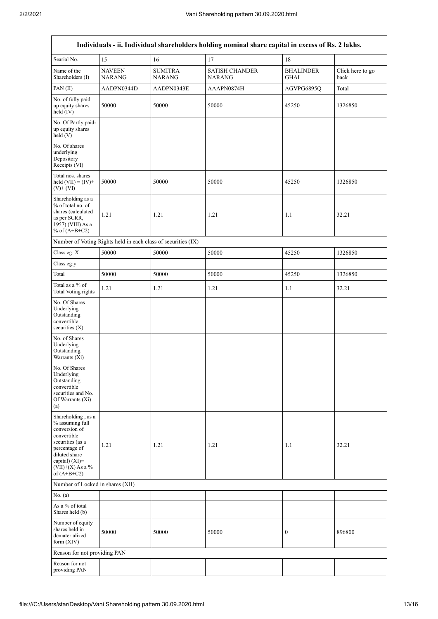$\mathbf{r}$ 

| Individuals - ii. Individual shareholders holding nominal share capital in excess of Rs. 2 lakhs.                                                                                    |                                |                                 |                                        |                                 |                          |  |  |
|--------------------------------------------------------------------------------------------------------------------------------------------------------------------------------------|--------------------------------|---------------------------------|----------------------------------------|---------------------------------|--------------------------|--|--|
| Searial No.                                                                                                                                                                          | 15                             | 16                              | 17                                     | 18                              |                          |  |  |
| Name of the<br>Shareholders (I)                                                                                                                                                      | <b>NAVEEN</b><br><b>NARANG</b> | <b>SUMITRA</b><br><b>NARANG</b> | <b>SATISH CHANDER</b><br><b>NARANG</b> | <b>BHALINDER</b><br><b>GHAI</b> | Click here to go<br>back |  |  |
| PAN(II)                                                                                                                                                                              | AADPN0344D                     | AADPN0343E                      | AAAPN0874H                             | AGVPG6895Q                      | Total                    |  |  |
| No. of fully paid<br>up equity shares<br>held $(IV)$                                                                                                                                 | 50000                          | 50000                           | 50000                                  | 45250                           | 1326850                  |  |  |
| No. Of Partly paid-<br>up equity shares<br>held (V)                                                                                                                                  |                                |                                 |                                        |                                 |                          |  |  |
| No. Of shares<br>underlying<br>Depository<br>Receipts (VI)                                                                                                                           |                                |                                 |                                        |                                 |                          |  |  |
| Total nos. shares<br>held $(VII) = (IV) +$<br>$(V)$ + $(VI)$                                                                                                                         | 50000                          | 50000                           | 50000                                  | 45250                           | 1326850                  |  |  |
| Shareholding as a<br>% of total no. of<br>shares (calculated<br>as per SCRR,<br>1957) (VIII) As a<br>% of $(A+B+C2)$                                                                 | 1.21                           | 1.21                            | 1.21                                   | 1.1                             | 32.21                    |  |  |
| Number of Voting Rights held in each class of securities (IX)                                                                                                                        |                                |                                 |                                        |                                 |                          |  |  |
| Class eg: X                                                                                                                                                                          | 50000                          | 50000                           | 50000                                  | 45250                           | 1326850                  |  |  |
| Class eg:y                                                                                                                                                                           |                                |                                 |                                        |                                 |                          |  |  |
| Total                                                                                                                                                                                | 50000                          | 50000                           | 50000                                  | 45250                           | 1326850                  |  |  |
| Total as a % of<br><b>Total Voting rights</b>                                                                                                                                        | 1.21                           | 1.21                            | 1.21                                   | 1.1                             | 32.21                    |  |  |
| No. Of Shares<br>Underlying<br>Outstanding<br>convertible<br>securities $(X)$                                                                                                        |                                |                                 |                                        |                                 |                          |  |  |
| No. of Shares<br>Underlying<br>Outstanding<br>Warrants (Xi)                                                                                                                          |                                |                                 |                                        |                                 |                          |  |  |
| No. Of Shares<br>Underlying<br>Outstanding<br>convertible<br>securities and No.<br>Of Warrants (Xi)<br>(a)                                                                           |                                |                                 |                                        |                                 |                          |  |  |
| Shareholding, as a<br>% assuming full<br>conversion of<br>convertible<br>securities (as a<br>percentage of<br>diluted share<br>capital) (XI)=<br>$(VII)+(X)$ As a %<br>of $(A+B+C2)$ | 1.21                           | 1.21                            | 1.21                                   | 1.1                             | 32.21                    |  |  |
| Number of Locked in shares (XII)                                                                                                                                                     |                                |                                 |                                        |                                 |                          |  |  |
| No. (a)                                                                                                                                                                              |                                |                                 |                                        |                                 |                          |  |  |
| As a $\%$ of total<br>Shares held (b)                                                                                                                                                |                                |                                 |                                        |                                 |                          |  |  |
| Number of equity<br>shares held in<br>dematerialized<br>form $(XIV)$                                                                                                                 | 50000                          | 50000                           | 50000                                  | $\boldsymbol{0}$                | 896800                   |  |  |
| Reason for not providing PAN                                                                                                                                                         |                                |                                 |                                        |                                 |                          |  |  |
| Reason for not<br>providing PAN                                                                                                                                                      |                                |                                 |                                        |                                 |                          |  |  |

٦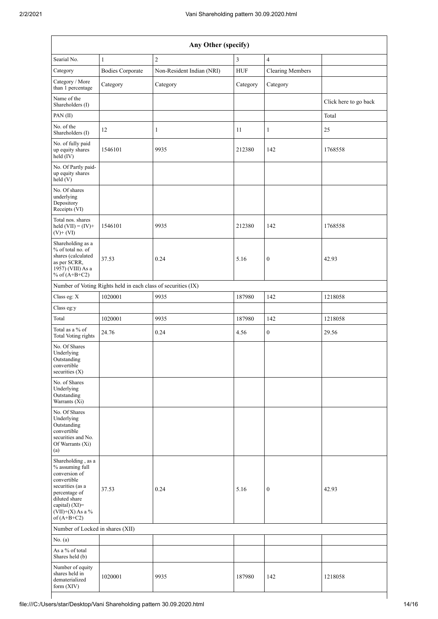| Any Other (specify)                                                                                                                                                                  |                                                               |                           |                     |                         |                       |  |  |
|--------------------------------------------------------------------------------------------------------------------------------------------------------------------------------------|---------------------------------------------------------------|---------------------------|---------------------|-------------------------|-----------------------|--|--|
| Searial No.<br>$\mathbf{1}$                                                                                                                                                          |                                                               | $\overline{c}$            | 3<br>$\overline{4}$ |                         |                       |  |  |
| Category                                                                                                                                                                             | <b>Bodies Corporate</b>                                       | Non-Resident Indian (NRI) | <b>HUF</b>          | <b>Clearing Members</b> |                       |  |  |
| Category / More<br>than 1 percentage                                                                                                                                                 | Category                                                      | Category                  | Category            | Category                |                       |  |  |
| Name of the<br>Shareholders (I)                                                                                                                                                      |                                                               |                           |                     |                         | Click here to go back |  |  |
| PAN(II)                                                                                                                                                                              |                                                               |                           |                     |                         | Total                 |  |  |
| No. of the<br>Shareholders (I)                                                                                                                                                       | 12                                                            | 1                         | 11                  | 1                       | 25                    |  |  |
| No. of fully paid<br>up equity shares<br>held (IV)                                                                                                                                   | 1546101                                                       | 9935                      | 212380              | 142                     | 1768558               |  |  |
| No. Of Partly paid-<br>up equity shares<br>held(V)                                                                                                                                   |                                                               |                           |                     |                         |                       |  |  |
| No. Of shares<br>underlying<br>Depository<br>Receipts (VI)                                                                                                                           |                                                               |                           |                     |                         |                       |  |  |
| Total nos. shares<br>held $(VII) = (IV) +$<br>$(V)$ + $(VI)$                                                                                                                         | 1546101                                                       | 9935                      | 212380              | 142                     | 1768558               |  |  |
| Shareholding as a<br>% of total no. of<br>shares (calculated<br>as per SCRR,<br>1957) (VIII) As a<br>% of $(A+B+C2)$                                                                 | 37.53                                                         | 0.24                      | 5.16                | $\boldsymbol{0}$        | 42.93                 |  |  |
|                                                                                                                                                                                      | Number of Voting Rights held in each class of securities (IX) |                           |                     |                         |                       |  |  |
| Class eg: X                                                                                                                                                                          | 1020001                                                       | 9935                      | 187980              | 142                     | 1218058               |  |  |
| Class eg:y                                                                                                                                                                           |                                                               |                           |                     |                         |                       |  |  |
| Total                                                                                                                                                                                | 1020001                                                       | 9935                      | 187980              | 142                     | 1218058               |  |  |
| Total as a % of<br><b>Total Voting rights</b>                                                                                                                                        | 24.76                                                         | 0.24                      | 4.56                | $\boldsymbol{0}$        | 29.56                 |  |  |
| No. Of Shares<br>Underlying<br>Outstanding<br>convertible<br>securities (X)                                                                                                          |                                                               |                           |                     |                         |                       |  |  |
| No. of Shares<br>Underlying<br>Outstanding<br>Warrants (Xi)                                                                                                                          |                                                               |                           |                     |                         |                       |  |  |
| No. Of Shares<br>Underlying<br>Outstanding<br>convertible<br>securities and No.<br>Of Warrants (Xi)<br>(a)                                                                           |                                                               |                           |                     |                         |                       |  |  |
| Shareholding, as a<br>% assuming full<br>conversion of<br>convertible<br>securities (as a<br>percentage of<br>diluted share<br>capital) (XI)=<br>$(VII)+(X)$ As a %<br>of $(A+B+C2)$ | 37.53                                                         | 0.24                      | 5.16                | $\boldsymbol{0}$        | 42.93                 |  |  |
| Number of Locked in shares (XII)                                                                                                                                                     |                                                               |                           |                     |                         |                       |  |  |
| No. (a)                                                                                                                                                                              |                                                               |                           |                     |                         |                       |  |  |
| As a % of total<br>Shares held (b)                                                                                                                                                   |                                                               |                           |                     |                         |                       |  |  |
| Number of equity<br>shares held in<br>dematerialized<br>form (XIV)                                                                                                                   | 1020001                                                       | 9935                      | 187980              | 142                     | 1218058               |  |  |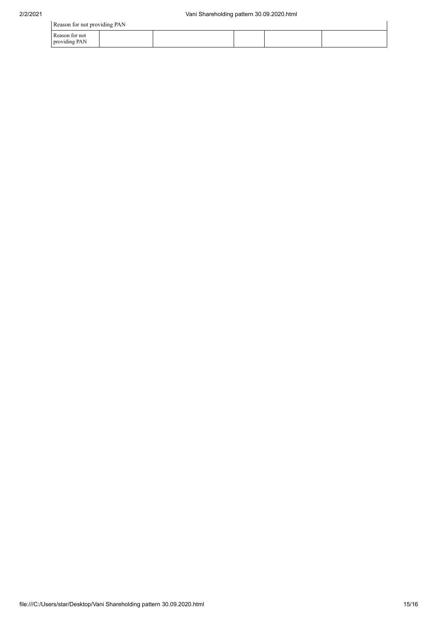| Reason for not providing PAN    |  |  |  |  |  |  |
|---------------------------------|--|--|--|--|--|--|
| Reason for not<br>providing PAN |  |  |  |  |  |  |